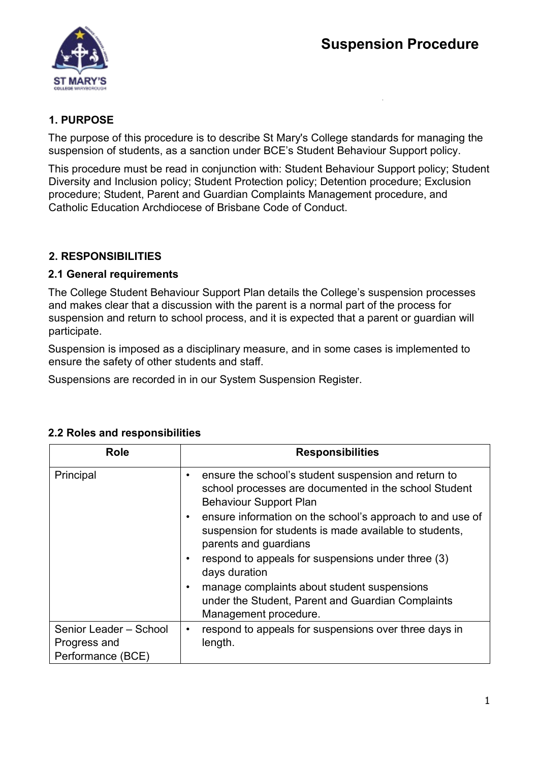

### **1. PURPOSE**

The purpose of this procedure is to describe St Mary's College standards for managing the suspension of students, as a sanction under BCE's Student Behaviour Support policy.

This procedure must be read in conjunction with: Student Behaviour Support policy; Student Diversity and Inclusion policy; Student Protection policy; Detention procedure; Exclusion procedure; Student, Parent and Guardian Complaints Management procedure, and Catholic Education Archdiocese of Brisbane Code of Conduct.

## **2. RESPONSIBILITIES**

#### **2.1 General requirements**

The College Student Behaviour Support Plan details the College's suspension processes and makes clear that a discussion with the parent is a normal part of the process for suspension and return to school process, and it is expected that a parent or guardian will participate.

Suspension is imposed as a disciplinary measure, and in some cases is implemented to ensure the safety of other students and staff.

Suspensions are recorded in in our System Suspension Register.

| Role                                                        | <b>Responsibilities</b>                                                                                                                             |
|-------------------------------------------------------------|-----------------------------------------------------------------------------------------------------------------------------------------------------|
| Principal                                                   | ensure the school's student suspension and return to<br>٠<br>school processes are documented in the school Student<br><b>Behaviour Support Plan</b> |
|                                                             | ensure information on the school's approach to and use of<br>٠<br>suspension for students is made available to students,<br>parents and guardians   |
|                                                             | respond to appeals for suspensions under three (3)<br>$\bullet$<br>days duration                                                                    |
|                                                             | manage complaints about student suspensions<br>$\bullet$<br>under the Student, Parent and Guardian Complaints<br>Management procedure.              |
| Senior Leader - School<br>Progress and<br>Performance (BCE) | respond to appeals for suspensions over three days in<br>٠<br>length.                                                                               |

#### **2.2 Roles and responsibilities**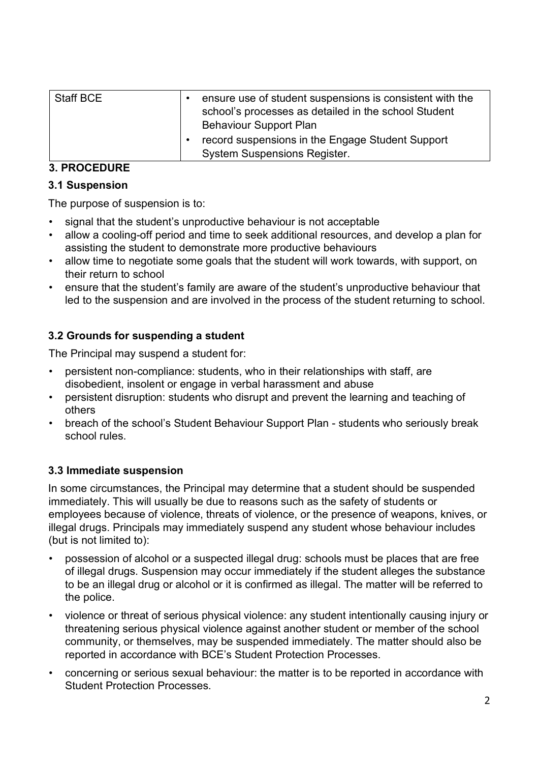| Staff BCE | ensure use of student suspensions is consistent with the<br>school's processes as detailed in the school Student<br><b>Behaviour Support Plan</b> |
|-----------|---------------------------------------------------------------------------------------------------------------------------------------------------|
|           | record suspensions in the Engage Student Support<br><b>System Suspensions Register.</b>                                                           |

## **3. PROCEDURE**

### **3.1 Suspension**

The purpose of suspension is to:

- signal that the student's unproductive behaviour is not acceptable
- allow a cooling-off period and time to seek additional resources, and develop a plan for assisting the student to demonstrate more productive behaviours
- allow time to negotiate some goals that the student will work towards, with support, on their return to school
- ensure that the student's family are aware of the student's unproductive behaviour that led to the suspension and are involved in the process of the student returning to school.

# **3.2 Grounds for suspending a student**

The Principal may suspend a student for:

- persistent non-compliance: students, who in their relationships with staff, are disobedient, insolent or engage in verbal harassment and abuse
- persistent disruption: students who disrupt and prevent the learning and teaching of others
- breach of the school's Student Behaviour Support Plan students who seriously break school rules.

## **3.3 Immediate suspension**

In some circumstances, the Principal may determine that a student should be suspended immediately. This will usually be due to reasons such as the safety of students or employees because of violence, threats of violence, or the presence of weapons, knives, or illegal drugs. Principals may immediately suspend any student whose behaviour includes (but is not limited to):

- possession of alcohol or a suspected illegal drug: schools must be places that are free of illegal drugs. Suspension may occur immediately if the student alleges the substance to be an illegal drug or alcohol or it is confirmed as illegal. The matter will be referred to the police.
- violence or threat of serious physical violence: any student intentionally causing injury or threatening serious physical violence against another student or member of the school community, or themselves, may be suspended immediately. The matter should also be reported in accordance with BCE's Student Protection Processes.
- concerning or serious sexual behaviour: the matter is to be reported in accordance with Student Protection Processes.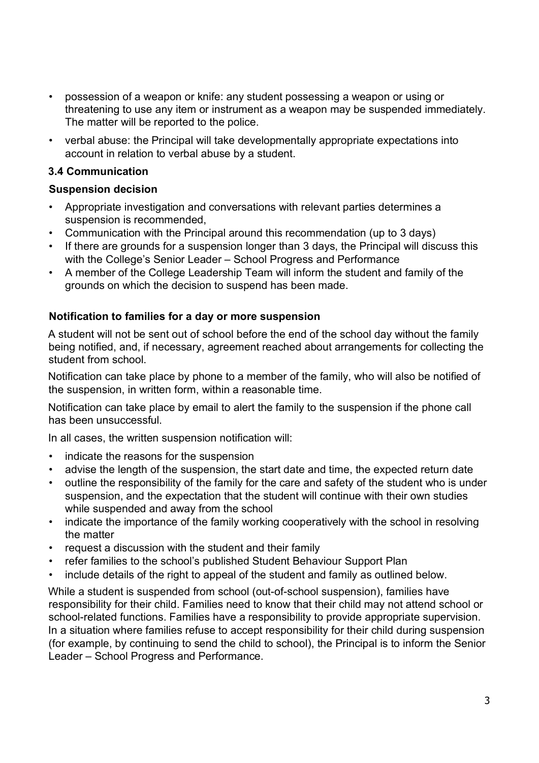- possession of a weapon or knife: any student possessing a weapon or using or threatening to use any item or instrument as a weapon may be suspended immediately. The matter will be reported to the police.
- verbal abuse: the Principal will take developmentally appropriate expectations into account in relation to verbal abuse by a student.

### **3.4 Communication**

### **Suspension decision**

- Appropriate investigation and conversations with relevant parties determines a suspension is recommended,
- Communication with the Principal around this recommendation (up to 3 days)
- If there are grounds for a suspension longer than 3 days, the Principal will discuss this with the College's Senior Leader – School Progress and Performance
- A member of the College Leadership Team will inform the student and family of the grounds on which the decision to suspend has been made.

### **Notification to families for a day or more suspension**

A student will not be sent out of school before the end of the school day without the family being notified, and, if necessary, agreement reached about arrangements for collecting the student from school.

Notification can take place by phone to a member of the family, who will also be notified of the suspension, in written form, within a reasonable time.

Notification can take place by email to alert the family to the suspension if the phone call has been unsuccessful.

In all cases, the written suspension notification will:

- indicate the reasons for the suspension
- advise the length of the suspension, the start date and time, the expected return date
- outline the responsibility of the family for the care and safety of the student who is under suspension, and the expectation that the student will continue with their own studies while suspended and away from the school
- indicate the importance of the family working cooperatively with the school in resolving the matter
- request a discussion with the student and their family
- refer families to the school's published Student Behaviour Support Plan
- include details of the right to appeal of the student and family as outlined below.

While a student is suspended from school (out-of-school suspension), families have responsibility for their child. Families need to know that their child may not attend school or school-related functions. Families have a responsibility to provide appropriate supervision. In a situation where families refuse to accept responsibility for their child during suspension (for example, by continuing to send the child to school), the Principal is to inform the Senior Leader – School Progress and Performance.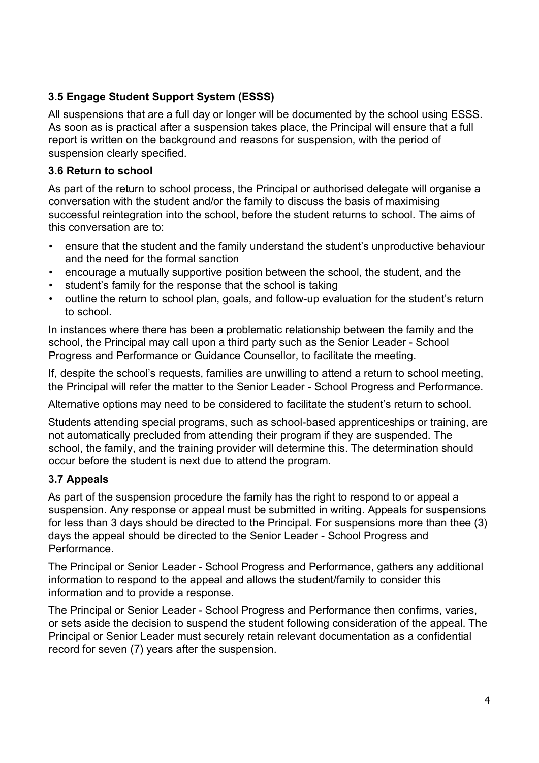## **3.5 Engage Student Support System (ESSS)**

All suspensions that are a full day or longer will be documented by the school using ESSS. As soon as is practical after a suspension takes place, the Principal will ensure that a full report is written on the background and reasons for suspension, with the period of suspension clearly specified.

#### **3.6 Return to school**

As part of the return to school process, the Principal or authorised delegate will organise a conversation with the student and/or the family to discuss the basis of maximising successful reintegration into the school, before the student returns to school. The aims of this conversation are to:

- ensure that the student and the family understand the student's unproductive behaviour and the need for the formal sanction
- encourage a mutually supportive position between the school, the student, and the
- student's family for the response that the school is taking
- outline the return to school plan, goals, and follow-up evaluation for the student's return to school.

In instances where there has been a problematic relationship between the family and the school, the Principal may call upon a third party such as the Senior Leader - School Progress and Performance or Guidance Counsellor, to facilitate the meeting.

If, despite the school's requests, families are unwilling to attend a return to school meeting, the Principal will refer the matter to the Senior Leader - School Progress and Performance.

Alternative options may need to be considered to facilitate the student's return to school.

Students attending special programs, such as school-based apprenticeships or training, are not automatically precluded from attending their program if they are suspended. The school, the family, and the training provider will determine this. The determination should occur before the student is next due to attend the program.

## **3.7 Appeals**

As part of the suspension procedure the family has the right to respond to or appeal a suspension. Any response or appeal must be submitted in writing. Appeals for suspensions for less than 3 days should be directed to the Principal. For suspensions more than thee (3) days the appeal should be directed to the Senior Leader - School Progress and Performance.

The Principal or Senior Leader - School Progress and Performance, gathers any additional information to respond to the appeal and allows the student/family to consider this information and to provide a response.

The Principal or Senior Leader - School Progress and Performance then confirms, varies, or sets aside the decision to suspend the student following consideration of the appeal. The Principal or Senior Leader must securely retain relevant documentation as a confidential record for seven (7) years after the suspension.